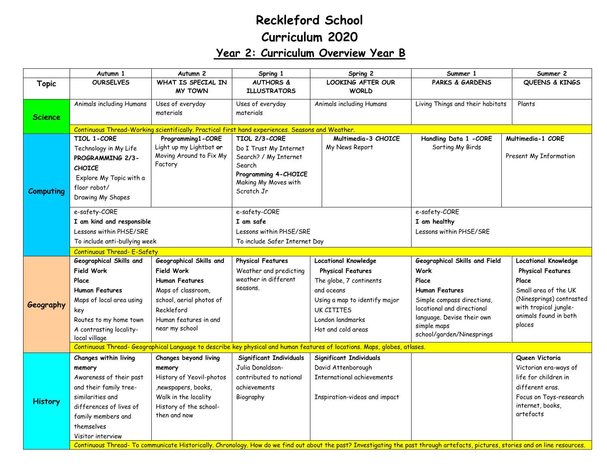## **Reckleford School Curriculum 2020**

## **Year 2: Curriculum Overview Year B**

|                  | Autumn 1                                                                                                                                                                          | Autumn <sub>2</sub>                                                                              | Spring 1                        | Spring 2                              | Summer 1                                  | Summer 2                    |  |
|------------------|-----------------------------------------------------------------------------------------------------------------------------------------------------------------------------------|--------------------------------------------------------------------------------------------------|---------------------------------|---------------------------------------|-------------------------------------------|-----------------------------|--|
| <b>Topic</b>     | <b>OURSELVES</b>                                                                                                                                                                  | WHAT IS SPECIAL IN                                                                               | <b>AUTHORS &amp;</b>            | LOOKING AFTER OUR                     | <b>PARKS &amp; GARDENS</b>                | QUEENS & KINGS              |  |
|                  |                                                                                                                                                                                   | <b>MY TOWN</b>                                                                                   | <b>ILLUSTRATORS</b>             | <b>WORLD</b>                          |                                           |                             |  |
|                  | Animals including Humans                                                                                                                                                          | Uses of everyday                                                                                 | Uses of everyday                | Animals including Humans              | Living Things and their habitats          | Plants                      |  |
| <b>Science</b>   |                                                                                                                                                                                   | materials                                                                                        | materials                       |                                       |                                           |                             |  |
|                  |                                                                                                                                                                                   |                                                                                                  |                                 |                                       |                                           |                             |  |
|                  |                                                                                                                                                                                   | Continuous Thread-Working scientifically. Practical first hand experiences. Seasons and Weather. |                                 |                                       |                                           |                             |  |
|                  | TIOL 1-CORE                                                                                                                                                                       | Programming1-CORE<br>Light up my Lightbot or                                                     | TIOL 2/3-CORE                   | Multimedia-3 CHOICE<br>My News Report | Handling Data 1 -CORE<br>Sorting My Birds | Multimedia-1 CORE           |  |
|                  | Technology in My Life                                                                                                                                                             | Moving Around to Fix My                                                                          | Do I Trust My Internet          |                                       |                                           | Present My Information      |  |
|                  | PROGRAMMING 2/3-                                                                                                                                                                  | Factory                                                                                          | Search? / My Internet<br>Search |                                       |                                           |                             |  |
|                  | <b>CHOICE</b>                                                                                                                                                                     |                                                                                                  | Programming 4-CHOICE            |                                       |                                           |                             |  |
|                  | Explore My Topic with a                                                                                                                                                           |                                                                                                  | Making My Moves with            |                                       |                                           |                             |  |
| <b>Computing</b> | floor robot/                                                                                                                                                                      |                                                                                                  | Scratch Jr                      |                                       |                                           |                             |  |
|                  | Drawing My Shapes                                                                                                                                                                 |                                                                                                  |                                 |                                       |                                           |                             |  |
|                  | e-safety-CORE                                                                                                                                                                     |                                                                                                  | e-safety-CORE                   |                                       | e-safety-CORE                             |                             |  |
|                  | I am kind and responsible                                                                                                                                                         |                                                                                                  | I am safe                       |                                       | I am healthy                              |                             |  |
|                  | Lessons within PHSE/SRE                                                                                                                                                           |                                                                                                  | Lessons within PHSE/SRE         |                                       | Lessons within PHSE/SRE                   |                             |  |
|                  | To include anti-bullying week                                                                                                                                                     |                                                                                                  | To include Safer Internet Day   |                                       |                                           |                             |  |
|                  | <b>Continuous Thread- E-Safety</b>                                                                                                                                                |                                                                                                  |                                 |                                       |                                           |                             |  |
|                  | Geographical Skills and                                                                                                                                                           | Geographical Skills and                                                                          | <b>Physical Features</b>        | <b>Locational Knowledge</b>           | Geographical Skills and Field             | <b>Locational Knowledge</b> |  |
|                  | <b>Field Work</b>                                                                                                                                                                 | Field Work                                                                                       | Weather and predicting          | <b>Physical Features</b>              | <b>Work</b>                               | <b>Physical Features</b>    |  |
|                  | Place                                                                                                                                                                             | <b>Human Features</b>                                                                            | weather in different            | The globe, 7 continents               | Place                                     | Place                       |  |
|                  | <b>Human Features</b>                                                                                                                                                             | Maps of classroom,                                                                               | seasons.                        | and oceans                            | <b>Human Features</b>                     | Small area of the UK        |  |
|                  | Maps of local area using                                                                                                                                                          | school, aerial photos of                                                                         |                                 | Using a map to identify major         | Simple compass directions,                | (Ninesprings) contrasted    |  |
| Geography        | key                                                                                                                                                                               | Reckleford                                                                                       |                                 | <b>UK CITITFS</b>                     | locational and directional                | with tropical jungle-       |  |
|                  | Routes to my home town                                                                                                                                                            | Human features in and                                                                            |                                 | London landmarks                      | language. Devise their own                | animals found in both       |  |
|                  | A contrasting locality-                                                                                                                                                           | near my school                                                                                   |                                 | Hot and cold areas                    | simple maps                               | places                      |  |
|                  | local village                                                                                                                                                                     |                                                                                                  |                                 |                                       | school/garden/Ninesprings                 |                             |  |
|                  | Continuous Thread- Geographical Language to describe key physical and human features of locations. Maps, globes, atlases.                                                         |                                                                                                  |                                 |                                       |                                           |                             |  |
|                  | Changes within living                                                                                                                                                             | Changes beyond living                                                                            | <b>Significant Individuals</b>  | Significant Individuals               |                                           | Queen Victoria              |  |
|                  | memory                                                                                                                                                                            | memory                                                                                           | Julia Donaldson-                | David Attenborough                    |                                           | Victorian era-ways of       |  |
| <b>History</b>   | Awareness of their past                                                                                                                                                           | History of Yeovil-photos                                                                         | contributed to national         | International achievements            |                                           | life for children in        |  |
|                  | and their family tree-                                                                                                                                                            | ,newspapers, books,                                                                              | achievements                    |                                       |                                           | different eras.             |  |
|                  | similarities and                                                                                                                                                                  | Walk in the locality                                                                             | Biography                       | Inspiration-videos and impact         |                                           | Focus on Toys-research      |  |
|                  | differences of lives of                                                                                                                                                           | History of the school-                                                                           |                                 |                                       |                                           | internet, books,            |  |
|                  | family members and                                                                                                                                                                | then and now                                                                                     |                                 |                                       |                                           | artefacts                   |  |
|                  | themselves                                                                                                                                                                        |                                                                                                  |                                 |                                       |                                           |                             |  |
|                  | Visitor interview                                                                                                                                                                 |                                                                                                  |                                 |                                       |                                           |                             |  |
|                  | Continuous Thread- To communicate Historically. Chronology. How do we find out about the past? Investigating the past through artefacts, pictures, stories and on line resources. |                                                                                                  |                                 |                                       |                                           |                             |  |
|                  |                                                                                                                                                                                   |                                                                                                  |                                 |                                       |                                           |                             |  |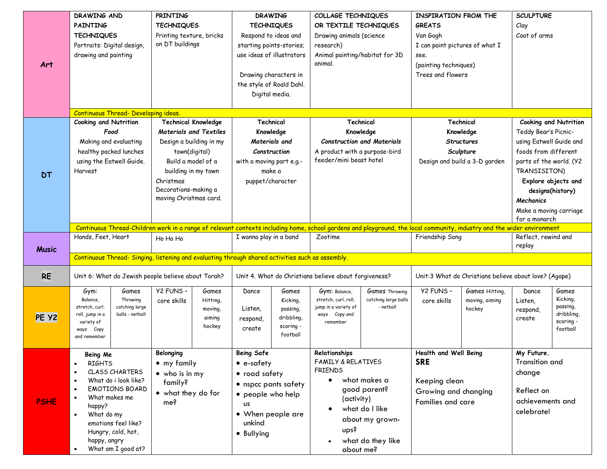| Art          | DRAWING AND<br><b>PAINTING</b><br><b>TECHNIQUES</b><br>Portraits: Digital design,<br>drawing and painting                                                                                                                                                                                                     | PRINTING<br><b>TECHNIQUES</b><br>Printing texture, bricks<br>on DT buildings                                                                                                          | <b>DRAWING</b><br><b>TECHNIQUES</b><br>Respond to ideas and<br>starting points-stories;<br>use ideas of illustrators<br>Drawing characters in<br>the style of Roald Dahl.<br>Digital media. | COLLAGE TECHNIQUES<br>OR TEXTILE TECHNIQUES<br>Drawing animals (science<br>research)<br>Animal painting/habitat for 3D<br>animal.                                                                                                                                                    | <b>INSPIRATION FROM THE</b><br><b>GREATS</b><br>Van Gogh<br>I can paint pictures of what I<br>see.<br>(painting techniques)<br>Trees and flowers | <b>SCULPTURE</b><br>Clay<br>Coat of arms                                                                                                                                                                                     |
|--------------|---------------------------------------------------------------------------------------------------------------------------------------------------------------------------------------------------------------------------------------------------------------------------------------------------------------|---------------------------------------------------------------------------------------------------------------------------------------------------------------------------------------|---------------------------------------------------------------------------------------------------------------------------------------------------------------------------------------------|--------------------------------------------------------------------------------------------------------------------------------------------------------------------------------------------------------------------------------------------------------------------------------------|--------------------------------------------------------------------------------------------------------------------------------------------------|------------------------------------------------------------------------------------------------------------------------------------------------------------------------------------------------------------------------------|
|              | <b>Continuous Thread- Developing ideas</b><br><b>Cooking and Nutrition</b>                                                                                                                                                                                                                                    | <b>Technical Knowledge</b>                                                                                                                                                            | Technical                                                                                                                                                                                   | Technical                                                                                                                                                                                                                                                                            | Technical                                                                                                                                        | <b>Cooking and Nutrition</b>                                                                                                                                                                                                 |
| <b>DT</b>    | Food<br>Making and evaluating<br>healthy packed lunches<br>using the Eatwell Guide.<br>Harvest                                                                                                                                                                                                                | <b>Materials and Textiles</b><br>Design a building in my<br>town(digital)<br>Build a model of a<br>building in my town<br>Christmas<br>Decorations-making a<br>moving Christmas card. | Knowledge<br>Materials and<br>Construction<br>with a moving part e.g.-<br>make a<br>puppet/character                                                                                        | Knowledge<br><b>Construction and Materials</b><br>A product with a purpose-bird<br>feeder/mini beast hotel<br>Continuous Thread-Children work in a range of relevant contexts including home, school gardens and playground, the local community, industry and the wider environment | Knowledge<br><b>Structures</b><br>Sculpture<br>Design and build a 3-D garden                                                                     | Teddy Bear's Picnic-<br>using Eatwell Guide and<br>foods from different<br>parts of the world. (Y2<br>TRANSISITON)<br>Explore objects and<br>designs(history)<br><b>Mechanics</b><br>Make a moving carriage<br>for a monarch |
|              | Hands, Feet, Heart                                                                                                                                                                                                                                                                                            | Ho Ho Ho                                                                                                                                                                              | I wanna play in a band                                                                                                                                                                      | Zootime                                                                                                                                                                                                                                                                              | Friendship Song                                                                                                                                  | Reflect, rewind and                                                                                                                                                                                                          |
| <b>Music</b> |                                                                                                                                                                                                                                                                                                               | Continuous Thread-Singing, listening and evaluating through shared activities such as assembly.                                                                                       |                                                                                                                                                                                             |                                                                                                                                                                                                                                                                                      |                                                                                                                                                  | replay                                                                                                                                                                                                                       |
|              |                                                                                                                                                                                                                                                                                                               |                                                                                                                                                                                       |                                                                                                                                                                                             |                                                                                                                                                                                                                                                                                      |                                                                                                                                                  |                                                                                                                                                                                                                              |
| <b>RE</b>    | Unit 6: What do Jewish people believe about Torah?                                                                                                                                                                                                                                                            |                                                                                                                                                                                       |                                                                                                                                                                                             | Unit 4. What do Christians believe about forgiveness?                                                                                                                                                                                                                                | Unit:3 What do Christians believe about love? (Agape)                                                                                            |                                                                                                                                                                                                                              |
| PE Y2        | Gym:<br>Games<br>Throwing<br>Balance,<br>catching large<br>stretch, curl,<br>balls - netball<br>roll, jump in a<br>variety of<br>Copy<br>ways<br>and remember                                                                                                                                                 | Y2 FUNS -<br>Games<br>Hitting,<br>core skills<br>moving,<br>aiming<br>hockey                                                                                                          | Dance<br>Games<br>Kicking,<br>Listen,<br>passing,<br>dribbling,<br>respond,<br>scoring -<br>create<br>football                                                                              | <b>Games Throwing</b><br>Gym: Balance,<br>stretch, curl, roll,<br>catching large balls<br>jump in a variety of<br>- netball<br>ways Copy and<br>remember                                                                                                                             | Y2 FUNS -<br>Games Hitting,<br>moving, aiming<br>core skills<br>hockey                                                                           | Dance<br>Games<br>Kicking,<br>Listen,<br>passing,<br>respond,<br>dribbling,<br>create<br>scoring -<br>football                                                                                                               |
| <b>PSHE</b>  | Being Me<br><b>RIGHTS</b><br>$\bullet$<br><b>CLASS CHARTERS</b><br>$\bullet$<br>What do i look like?<br>$\bullet$<br><b>EMOTIONS BOARD</b><br>$\bullet$<br>What makes me<br>$\bullet$<br>happy?<br>What do my<br>$\bullet$<br>emotions feel like?<br>Hungry, cold, hot,<br>happy, angry<br>What am I good at? | Belonging<br>• my family<br>$\bullet$ who is in my<br>family?<br>• what they do for<br>me?                                                                                            | <b>Being Safe</b><br>$\bullet$ e-safety<br>• road safety<br>• nspcc pants safety<br>• people who help<br><b>US</b><br>• When people are<br>unkind<br>• Bullying                             | Relationships<br><b>FAMILY &amp; RELATIVES</b><br><b>FRIENDS</b><br>what makes a<br>$\bullet$<br>good parent?<br>(activity)<br>what do I like<br>about my grown-<br>ups?<br>what do they like<br>about me?                                                                           | Health and Well Being<br><b>SRE</b><br>Keeping clean<br>Growing and changing<br><b>Families and care</b>                                         | My Future.<br><b>Transition and</b><br>change<br>Reflect on<br>achievements and<br>celebrate!                                                                                                                                |